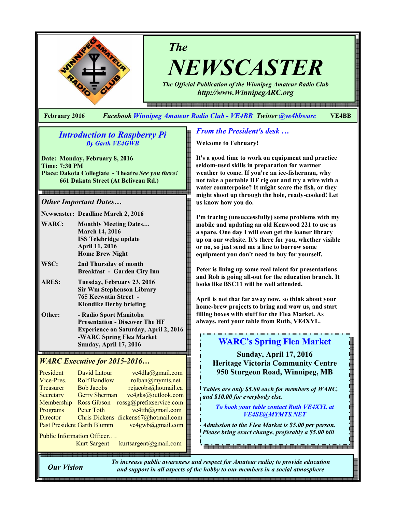

The

NEWSCASTER

The Official Publication of the Winnipeg Amateur Radio Club http://www.WinnipegARC.org

February 2016 Facebook Winnipeg Amateur Radio Club - VE4BB Twitter @ve4bbwarc VE4BB

### Introduction to Raspberry Pi By Garth VE4GWB

Date: Monday, February 8, 2016 Time: 7:30 PM Place: Dakota Collegiate - Theatre See you there! 661 Dakota Street (At Beliveau Rd.)

### Other Important Dates…

Newscaster: Deadline March 2, 2016

- WARC: Monthly Meeting Dates... March 14, 2016 ISS Telebridge update April 11, 2016 Home Brew Night
- WSC: 2nd Thursday of month Breakfast - Garden City Inn
- ARES: Tuesday, February 23, 2016 Sir Wm Stephenson Library 765 Keewatin Street - Klondike Derby briefing
- Other: Radio Sport Manitoba Presentation - Discover The HF Experience on Saturday, April 2, 2016 -WARC Spring Flea Market Sunday, April 17, 2016 j

### WARC Executive for 2015-2016…

| President<br>Vice-Pres.           | David Latour<br><b>Rolf Bandlow</b> | ve4dla@gmail.com<br>rolban@mymts.net |
|-----------------------------------|-------------------------------------|--------------------------------------|
| Treasurer                         | <b>Bob Jacobs</b>                   | rcjacobs@hotmail.ca                  |
| Secretary                         | <b>Gerry Sherman</b>                | ve4gks@outlook.com                   |
| Membership                        | <b>Ross Gibson</b>                  | rossg@prefixservice.com              |
| Programs                          | Peter Toth                          | $ve4th$ ( $Q$ gmail.com              |
| <b>Director</b>                   |                                     | Chris Dickens dickens67@hotmail.com  |
| <b>Past President Garth Blumm</b> |                                     | ve4gwb@gmail.com                     |

Public Information Officer…. Kurt Sargent kurtsargent@gmail.com

### From the President's desk …

Welcome to February!

It's a good time to work on equipment and practice seldom-used skills in preparation for warmer weather to come. If you're an ice-fisherman, why not take a portable HF rig out and try a wire with a water counterpoise? It might scare the fish, or they might shoot up through the hole, ready-cooked! Let us know how you do.

I'm tracing (unsuccessfully) some problems with my mobile and updating an old Kenwood 221 to use as a spare. One day I will even get the loaner library up on our website. It's there for you, whether visible or no, so just send me a line to borrow some equipment you don't need to buy for yourself.

Peter is lining up some real talent for presentations and Rob is going all-out for the education branch. It looks like BSC11 will be well attended.

April is not that far away now, so think about your home-brew projects to bring and wow us, and start filling boxes with stuff for the Flea Market. As always, rent your table from Ruth, VE4XYL.

# WARC's Spring Flea Market

Sunday, April 17, 2016 Heritage Victoria Community Centre 950 Sturgeon Road, Winnipeg, MB

Tables are only \$5.00 each for members of WARC, and \$10.00 for everybody else.

To book your table contact Ruth VE4XYL at VE4SE@MYMTS.NET

**The state of the company's contract of the company** 

Admission to the Flea Market is \$5.00 per person. Please bring exact change, preferably a \$5.00 bill

Our Vision

To increase public awareness and respect for Amateur radio; to provide education and support in all aspects of the hobby to our members in a social atmosphere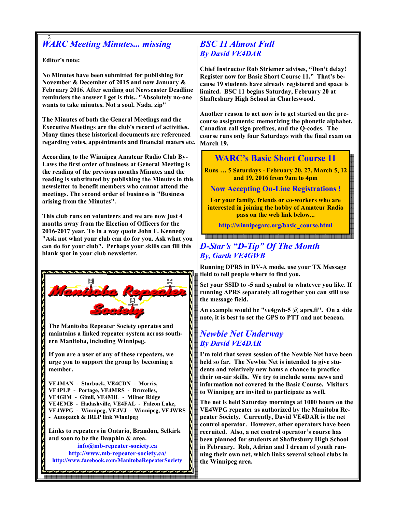### 2 WARC Meeting Minutes... missing

Editor's note:

No Minutes have been submitted for publishing for November & December of 2015 and now January & February 2016. After sending out Newscaster Deadline reminders the answer I get is this.. "Absolutely no-one wants to take minutes. Not a soul. Nada. zip"

The Minutes of both the General Meetings and the Executive Meetings are the club's record of activities. Many times these historical documents are referenced regarding votes, appointments and financial maters etc.

According to the Winnipeg Amateur Radio Club By-Laws the first order of business at General Meeting is the reading of the previous months Minutes and the reading is substituted by publishing the Minutes in this newsletter to benefit members who cannot attend the meetings. The second order of business is "Business arising from the Minutes".

This club runs on volunteers and we are now just 4 months away from the Election of Officers for the 2016-2017 year. To in a way quote John F. Kennedy "Ask not what your club can do for you. Ask what you can do for your club". Perhaps your skills can fill this blank spot in your club newsletter.



# BSC 11 Almost Full By David VE4DAR

Chief Instructor Rob Striemer advises, "Don't delay! Register now for Basic Short Course 11." That's because 19 students have already registered and space is limited. BSC 11 begins Saturday, February 20 at Shaftesbury High School in Charleswood.

Another reason to act now is to get started on the precourse assignments: memorizing the phonetic alphabet, Canadian call sign prefixes, and the Q-codes. The course runs only four Saturdays with the final exam on March 19.

# WARC's Basic Short Course 11

Runs … 5 Saturdays - February 20, 27, March 5, 12 and 19, 2016 from 9am to 4pm

Now Accepting On-Line Registrations !

For your family, friends or co-workers who are interested in joining the hobby of Amateur Radio pass on the web link below...

http://winnipegarc.org/basic\_course.html

# D-Star's "D-Tip" Of The Month By, Garth VE4GWB

Running DPRS in DV-A mode, use your TX Message field to tell people where to find you.

Set your SSID to -5 and symbol to whatever you like. If running APRS separately all together you can still use the message field.

An example would be "ve4gwb-5 @ aprs.fi". On a side note, it is best to set the GPS to PTT and not beacon.

## Newbie Net Underway By David VE4DAR

I'm told that seven session of the Newbie Net have been held so far. The Newbie Net is intended to give students and relatively new hams a chance to practice their on-air skills. We try to include some news and information not covered in the Basic Course. Visitors to Winnipeg are invited to participate as well.

The net is held Saturday mornings at 1000 hours on the VE4WPG repeater as authorized by the Manitoba Repeater Society. Currently, David VE4DAR is the net control operator. However, other operators have been recruited. Also, a net control operator's course has been planned for students at Shaftesbury High School in February. Rob, Adrian and I dream of youth running their own net, which links several school clubs in the Winnipeg area.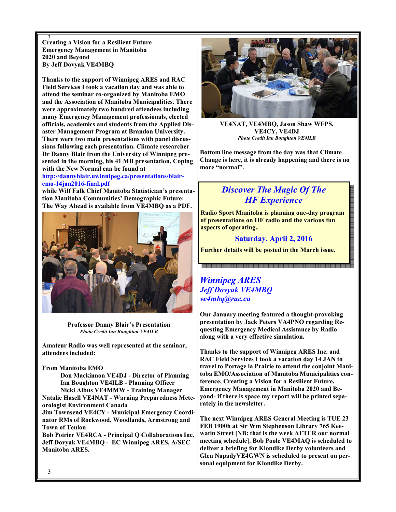$\frac{3}{3}$  Creating a Vision for a Resilient Future Emergency Management in Manitoba 2020 and Beyond By Jeff Dovyak VE4MBQ

Thanks to the support of Winnipeg ARES and RAC Field Services I took a vacation day and was able to attend the seminar co-organized by Manitoba EMO and the Association of Manitoba Municipalities. There were approximately two hundred attendees including many Emergency Management professionals, elected officials, academics and students from the Applied Disaster Management Program at Brandon University. There were two main presentations with panel discussions following each presentation. Climate researcher Dr Danny Blair from the University of Winnipeg presented in the morning, his 41 MB presentation, Coping with the New Normal can be found at

http://dannyblair.uwinnipeg.ca/presentations/blairemo-14jan2016-final.pdf

while Wilf Falk Chief Manitoba Statistician's presentation Manitoba Communities' Demographic Future: The Way Ahead is available from VE4MBQ as a PDF.



Professor Danny Blair's Presentation Photo Credit Ian Boughton VE4ILB

Amateur Radio was well represented at the seminar, attendees included:

#### From Manitoba EMO

 Don Mackinnon VE4DJ - Director of Planning Ian Boughton VE4ILB - Planning Officer Nicki Albus VE4MMW - Training Manager Natalie Hasell VE4NAT - Warning Preparedness Meteorologist Environment Canada Jim Townsend VE4CY - Municipal Emergency Coordinator RMs of Rockwood, Woodlands, Armstrong and Town of Teulon Bob Poirier VE4RCA - Principal Q Collaborations Inc. Jeff Dovyak VE4MBQ - EC Winnipeg ARES, A/SEC Manitoba ARES.



VE4NAT, VE4MBQ, Jason Shaw WFPS, VE4CY, VE4DJ Photo Credit Ian Boughton VE4ILB

Bottom line message from the day was that Climate Change is here, it is already happening and there is no more "normal".

# Discover The Magic Of The HF Experience

Radio Sport Manitoba is planning one-day program of presentations on HF radio and the various fun aspects of operating..

Saturday, April 2, 2016

Further details will be posted in the March issue.

### Winnipeg ARES Jeff Dovyak VE4MBQ ve4mbq@rac.ca

Our January meeting featured a thought-provoking presentation by Jack Peters VA4PNO regarding Requesting Emergency Medical Assistance by Radio along with a very effective simulation.

Thanks to the support of Winnipeg ARES Inc. and RAC Field Services I took a vacation day 14 JAN to travel to Portage la Prairie to attend the conjoint Manitoba EMO/Association of Manitoba Municipalities conference, Creating a Vision for a Resilient Future, Emergency Management in Manitoba 2020 and Beyond- if there is space my report will be printed separately in the newsletter.

The next Winnipeg ARES General Meeting is TUE 23 FEB 1900h at Sir Wm Stephenson Library 765 Keewatin Street [NB: that is the week AFTER our normal meeting schedule]. Bob Poole VE4MAQ is scheduled to deliver a briefing for Klondike Derby volunteers and Glen NapadyVE4GWN is scheduled to present on personal equipment for Klondike Derby.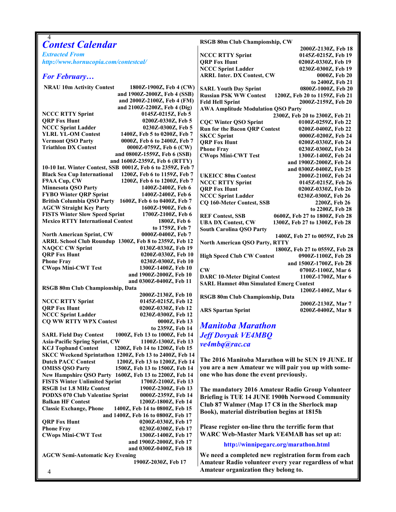| 4                                                                                                                            | RSGB 80m Club Championship, CW                                                                                         |
|------------------------------------------------------------------------------------------------------------------------------|------------------------------------------------------------------------------------------------------------------------|
| <b>Contest Calendar</b>                                                                                                      | 2000Z-2130Z, Feb 18                                                                                                    |
| <b>Extracted From</b>                                                                                                        | <b>NCCC RTTY Sprint</b><br>0145Z-0215Z, Feb 19                                                                         |
| http://www.hornucopia.com/contestcal/                                                                                        | <b>QRP Fox Hunt</b><br>0200Z-0330Z, Feb 19                                                                             |
|                                                                                                                              | <b>NCCC Sprint Ladder</b><br>0230Z-0300Z, Feb 19                                                                       |
| <b>For February</b>                                                                                                          | <b>ARRL Inter. DX Contest, CW</b><br>0000Z, Feb 20                                                                     |
| <b>NRAU 10m Activity Contest</b><br>1800Z-1900Z, Feb 4 (CW)                                                                  | to 2400Z, Feb 21                                                                                                       |
| and 1900Z-2000Z, Feb 4 (SSB)                                                                                                 | <b>SARL Youth Day Sprint</b><br>0800Z-1000Z, Feb 20<br><b>Russian PSK WW Contest</b><br>1200Z, Feb 20 to 1159Z, Feb 21 |
| and 2000Z-2100Z, Feb 4 (FM)                                                                                                  | <b>Feld Hell Sprint</b><br>2000Z-2159Z, Feb 20                                                                         |
| and 2100Z-2200Z, Feb 4 (Dig)                                                                                                 | <b>AWA Amplitude Modulation QSO Party</b>                                                                              |
| <b>NCCC RTTY Sprint</b><br>0145Z-0215Z, Feb 5                                                                                | 2300Z, Feb 20 to 2300Z, Feb 21                                                                                         |
| <b>QRP Fox Hunt</b><br>0200Z-0330Z, Feb 5                                                                                    | <b>CQC Winter QSO Sprint</b><br>0100Z-0259Z, Feb 22                                                                    |
| <b>NCCC Sprint Ladder</b><br>0230Z-0300Z, Feb 5                                                                              | <b>Run for the Bacon QRP Contest</b><br>0200Z-0400Z, Feb 22                                                            |
| <b>YLRL YL-OM Contest</b><br>1400Z, Feb 5 to 0200Z, Feb 7                                                                    | <b>SKCC Sprint</b><br>0000Z-0200Z, Feb 24                                                                              |
| <b>Vermont QSO Party</b><br>0000Z, Feb 6 to 2400Z, Feb 7                                                                     | <b>QRP Fox Hunt</b><br>0200Z-0330Z, Feb 24                                                                             |
| <b>Triathlon DX Contest</b><br>0000Z-0759Z, Feb 6 (CW)                                                                       | <b>Phone Fray</b><br>0230Z-0300Z, Feb 24                                                                               |
| and 0800Z-1559Z, Feb 6 (SSB)<br>and 1600Z-2359Z, Feb 6 (RTTY)                                                                | <b>CWops Mini-CWT Test</b><br>1300Z-1400Z, Feb 24                                                                      |
| 10-10 Int. Winter Contest, SSB 0001Z, Feb 6 to 2359Z, Feb 7                                                                  | and 1900Z-2000Z, Feb 24                                                                                                |
| <b>Black Sea Cup International</b><br>1200Z, Feb 6 to 1159Z, Feb 7                                                           | and 0300Z-0400Z, Feb 25                                                                                                |
| F9AA Cup, CW<br>1200Z, Feb 6 to 1200Z, Feb 7                                                                                 | <b>UKEICC 80m Contest</b><br>2000Z-2100Z, Feb 24<br><b>NCCC RTTY Sprint</b><br>0145Z-0215Z, Feb 26                     |
| <b>Minnesota QSO Party</b><br>1400Z-2400Z, Feb 6                                                                             | <b>QRP Fox Hunt</b><br>0200Z-0330Z, Feb 26                                                                             |
| <b>FYBO Winter QRP Sprint</b><br>1400Z-2400Z, Feb 6                                                                          | <b>NCCC Sprint Ladder</b><br>0230Z-0300Z, Feb 26                                                                       |
| <b>British Columbia QSO Party</b><br>1600Z, Feb 6 to 0400Z, Feb 7                                                            | <b>CQ 160-Meter Contest, SSB</b><br>2200Z, Feb 26                                                                      |
| <b>AGCW Straight Key Party</b><br>1600Z-1900Z, Feb 6                                                                         | to 2200Z, Feb 28                                                                                                       |
| <b>FISTS Winter Slow Speed Sprint</b><br>1700Z-2100Z, Feb 6                                                                  | <b>REF Contest, SSB</b><br>0600Z, Feb 27 to 1800Z, Feb 28                                                              |
| <b>Mexico RTTY International Contest</b><br>1800Z, Feb 6                                                                     | <b>UBA DX Contest, CW</b><br>1300Z, Feb 27 to 1300Z, Feb 28                                                            |
| to 1759Z, Feb 7                                                                                                              | <b>South Carolina QSO Party</b>                                                                                        |
| <b>North American Sprint, CW</b><br>0000Z-0400Z, Feb 7                                                                       | 1400Z, Feb 27 to 0059Z, Feb 28                                                                                         |
| ARRL School Club Roundup 1300Z, Feb 8 to 2359Z, Feb 12                                                                       | <b>North American QSO Party, RTTY</b>                                                                                  |
| <b>NAQCC CW Sprint</b><br>0130Z-0330Z, Feb 19                                                                                | 1800Z, Feb 27 to 0559Z, Feb 28                                                                                         |
| <b>QRP Fox Hunt</b><br>0200Z-0330Z, Feb 10                                                                                   | <b>High Speed Club CW Contest</b><br>0900Z-1100Z, Feb 28                                                               |
| <b>Phone Fray</b><br>0230Z-0300Z, Feb 10<br><b>CWops Mini-CWT Test</b><br>1300Z-1400Z, Feb 10                                | and 1500Z-1700Z, Feb 28                                                                                                |
| and 1900Z-2000Z, Feb 10                                                                                                      | $\mathbf{CW}$<br>0700Z-1100Z, Mar 6                                                                                    |
| and 0300Z-0400Z, Feb 11                                                                                                      | <b>DARC 10-Meter Digital Contest</b><br>1100Z-1700Z, Mar 6                                                             |
| RSGB 80m Club Championship, Data                                                                                             | <b>SARL Hamnet 40m Simulated Emerg Contest</b><br>1200Z-1400Z, Mar 6                                                   |
| 2000Z-2130Z, Feb 10                                                                                                          | RSGB 80m Club Championship, Data                                                                                       |
| <b>NCCC RTTY Sprint</b><br>0145Z-0215Z, Feb 12                                                                               | 2000Z-2130Z, Mar 7                                                                                                     |
| <b>QRP Fox Hunt</b><br>0200Z-0330Z, Feb 12                                                                                   | <b>ARS Spartan Sprint</b><br>0200Z-0400Z, Mar 8                                                                        |
| <b>NCCC Sprint Ladder</b><br>0230Z-0300Z, Feb 12                                                                             |                                                                                                                        |
| <b>CQ WW RTTY WPX Contest</b><br>0000Z, Feb 13                                                                               | <b>Manitoba Marathon</b>                                                                                               |
| to 2359Z, Feb 14                                                                                                             |                                                                                                                        |
| 1000Z, Feb 13 to 1000Z, Feb 14<br><b>SARL Field Day Contest</b>                                                              | <b>Jeff Dovyak VE4MBQ</b>                                                                                              |
| <b>Asia-Pacific Spring Sprint, CW</b><br>1100Z-1300Z, Feb 13<br><b>KCJ Topband Contest</b><br>1200Z, Feb 14 to 1200Z, Feb 15 | ve4mbq@rac.ca                                                                                                          |
| SKCC Weekend Sprintathon 1200Z, Feb 13 to 2400Z, Feb 14                                                                      |                                                                                                                        |
| <b>Dutch PACC Contest</b><br>1200Z, Feb 13 to 1200Z, Feb 14                                                                  | The 2016 Manitoba Marathon will be SUN 19 JUNE. If                                                                     |
| <b>OMISS QSO Party</b><br>1500Z, Feb 13 to 1500Z, Feb 14                                                                     | you are a new Amateur we will pair you up with some-                                                                   |
| New Hampshire QSO Party 1600Z, Feb 13 to 2200Z, Feb 14                                                                       | one who has done the event previously.                                                                                 |
| <b>FISTS Winter Unlimited Sprint</b><br>1700Z-2100Z, Feb 13                                                                  |                                                                                                                        |
| <b>RSGB 1st 1.8 MHz Contest</b><br>1900Z-2300Z, Feb 13                                                                       | The mandatory 2016 Amateur Radio Group Volunteer                                                                       |
| <b>PODXS 070 Club Valentine Sprint</b><br>0000Z-2359Z, Feb 14                                                                | Briefing is TUE 14 JUNE 1900h Norwood Community                                                                        |
| <b>Balkan HF Contest</b><br>1200Z-1800Z, Feb 14                                                                              | Club 87 Walmer (Map 17 C8 in the Sherlock map                                                                          |
| <b>Classic Exchange, Phone</b><br>1400Z, Feb 14 to 0800Z, Feb 15                                                             | Book), material distribution begins at 1815h                                                                           |
| and 1400Z, Feb 16 to 0800Z, Feb 17                                                                                           |                                                                                                                        |
| <b>QRP Fox Hunt</b><br>0200Z-0330Z, Feb 17                                                                                   | Please register on-line thru the terrific form that                                                                    |
| <b>Phone Fray</b><br>0230Z-0300Z, Feb 17                                                                                     | WARC Web-Master Mark VE4MAB has set up at:                                                                             |
| <b>CWops Mini-CWT Test</b><br>1300Z-1400Z, Feb 17<br>and 1900Z-2000Z, Feb 17                                                 |                                                                                                                        |
| and 0300Z-0400Z, Feb 18                                                                                                      | http://winnipegarc.org/marathon.html                                                                                   |
| <b>AGCW Semi-Automatic Key Evening</b>                                                                                       | We need a completed new registration form from each                                                                    |
| 1900Z-2030Z, Feb 17                                                                                                          | Amateur Radio volunteer every year regardless of what                                                                  |
|                                                                                                                              | Amateur organization they belong to.                                                                                   |
| 4                                                                                                                            |                                                                                                                        |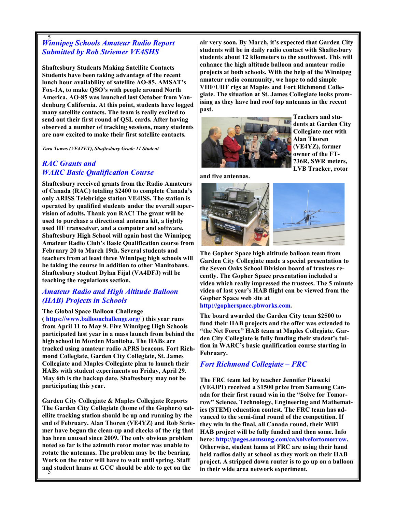# 5 Winnipeg Schools Amateur Radio Report Submitted by Rob Striemer VE4SHS

Shaftesbury Students Making Satellite Contacts Students have been taking advantage of the recent lunch hour availability of satellite AO-85, AMSAT's Fox-1A, to make QSO's with people around North America. AO-85 was launched last October from Vandenburg California. At this point, students have logged many satellite contacts. The team is really excited to send out their first round of QSL cards. After having observed a number of tracking sessions, many students are now excited to make their first satellite contacts.

Tara Towns (VE4TET), Shaftesbury Grade 11 Student

### RAC Grants and **WARC Basic Qualification Course**

Shaftesbury received grants from the Radio Amateurs of Canada (RAC) totaling \$2400 to complete Canada's only ARISS Telebridge station VE4ISS. The station is operated by qualified students under the overall supervision of adults. Thank you RAC! The grant will be used to purchase a directional antenna kit, a lightly used HF transceiver, and a computer and software. Shaftesbury High School will again host the Winnipeg Amateur Radio Club's Basic Qualification course from February 20 to March 19th. Several students and teachers from at least three Winnipeg high schools will be taking the course in addition to other Manitobans. Shaftesbury student Dylan Fijal (VA4DFJ) will be teaching the regulations section.

### Amateur Radio and High Altitude Balloon (HAB) Projects in Schools

The Global Space Balloon Challenge

( https://www.balloonchallenge.org/ ) this year runs from April 11 to May 9. Five Winnipeg High Schools participated last year in a mass launch from behind the high school in Morden Manitoba. The HABs are tracked using amateur radio APRS beacons. Fort Richmond Collegiate, Garden City Collegiate, St. James Collegiate and Maples Collegiate plan to launch their HABs with student experiments on Friday, April 29. May 6th is the backup date. Shaftesbury may not be participating this year.

5 and student hams at GCC should be able to get on the Garden City Collegiate & Maples Collegiate Reports The Garden City Collegiate (home of the Gophers) satellite tracking station should be up and running by the end of February. Alan Thoren (VE4YZ) and Rob Striemer have begun the clean-up and checks of the rig that has been unused since 2009. The only obvious problem noted so far is the azimuth rotor motor was unable to rotate the antennas. The problem may be the bearing. Work on the rotor will have to wait until spring. Staff

air very soon. By March, it's expected that Garden City students will be in daily radio contact with Shaftesbury students about 12 kilometers to the southwest. This will enhance the high altitude balloon and amateur radio projects at both schools. With the help of the Winnipeg amateur radio community, we hope to add simple VHF/UHF rigs at Maples and Fort Richmond Collegiate. The situation at St. James Collegiate looks promising as they have had roof top antennas in the recent past.



Teachers and students at Garden City Collegiate met with Alan Thoren (VE4YZ), former owner of the FT-736R, SWR meters, LVB Tracker, rotor

and five antennas.



The Gopher Space high altitude balloon team from Garden City Collegiate made a special presentation to the Seven Oaks School Division board of trustees recently. The Gopher Space presentation included a video which really impressed the trustees. The 5 minute video of last year's HAB flight can be viewed from the Gopher Space web site at

#### http://gopherspace.pbworks.com.

The board awarded the Garden City team \$2500 to fund their HAB projects and the offer was extended to "the Net Force" HAB team at Maples Collegiate. Garden City Collegiate is fully funding their student's tuition in WARC's basic qualification course starting in February.

### Fort Richmond Collegiate – FRC

The FRC team led by teacher Jennifer Piasecki (VE4JPI) received a \$1500 prize from Samsung Canada for their first round win in the "Solve for Tomorrow" Science, Technology, Engineering and Mathematics (STEM) education contest. The FRC team has advanced to the semi-final round of the competition. If they win in the final, all Canada round, their WiFi HAB project will be fully funded and then some. Info here: http://pages.samsung.com/ca/solvefortomorrow. Otherwise, student hams at FRC are using their hand held radios daily at school as they work on their HAB project. A stripped down router is to go up on a balloon in their wide area network experiment.